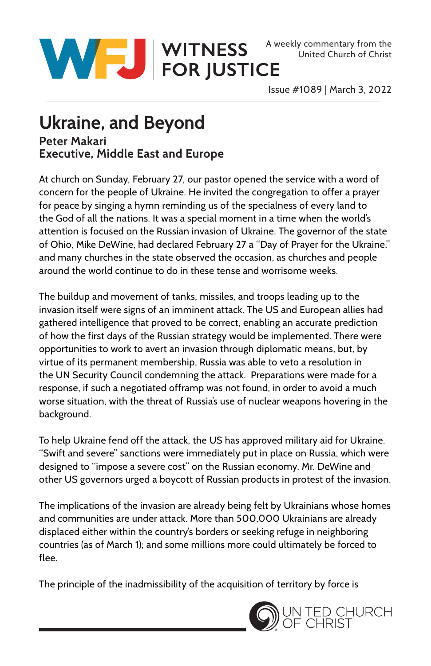

United Church of Christ

Issue #1089 | March 3, 2022

## **Ukraine, and Beyond**

## **Peter Makari Executive, Middle East and Europe**

At church on Sunday, February 27, our pastor opened the service with a word of concern for the people of Ukraine. He invited the congregation to offer a prayer for peace by singing a hymn reminding us of the specialness of every land to the God of all the nations. It was a special moment in a time when the world's attention is focused on the Russian invasion of Ukraine. The governor of the state of Ohio, Mike DeWine, had declared February 27 a "Day of Prayer for the Ukraine," and many churches in the state observed the occasion, as churches and people around the world continue to do in these tense and worrisome weeks.

The buildup and movement of tanks, missiles, and troops leading up to the invasion itself were signs of an imminent attack. The US and European allies had gathered intelligence that proved to be correct, enabling an accurate prediction of how the first days of the Russian strategy would be implemented. There were opportunities to work to avert an invasion through diplomatic means, but, by virtue of its permanent membership, Russia was able to veto a resolution in the UN Security Council condemning the attack. Preparations were made for a response, if such a negotiated offramp was not found, in order to avoid a much worse situation, with the threat of Russia's use of nuclear weapons hovering in the background.

To help Ukraine fend off the attack, the US has approved military aid for Ukraine. "Swift and severe" sanctions were immediately put in place on Russia, which were designed to "impose a severe cost" on the Russian economy. Mr. DeWine and other US governors urged a boycott of Russian products in protest of the invasion.

The implications of the invasion are already being felt by Ukrainians whose homes and communities are under attack. More than 500,000 Ukrainians are already displaced either within the country's borders or seeking refuge in neighboring countries (as of March 1); and some millions more could ultimately be forced to flee.

The principle of the inadmissibility of the acquisition of territory by force is